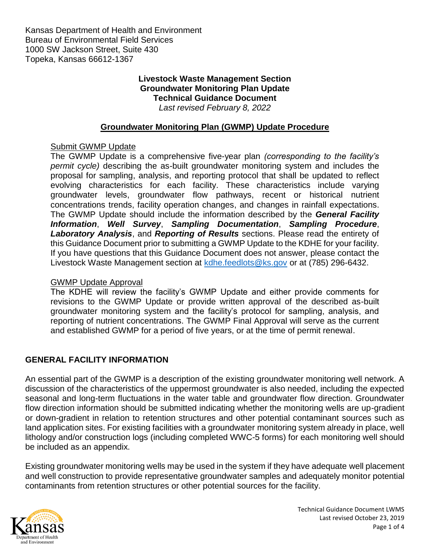Kansas Department of Health and Environment Bureau of Environmental Field Services 1000 SW Jackson Street, Suite 430 Topeka, Kansas 66612-1367

#### **Livestock Waste Management Section Groundwater Monitoring Plan Update Technical Guidance Document** *Last revised February 8, 2022*

### **Groundwater Monitoring Plan (GWMP) Update Procedure**

#### Submit GWMP Update

The GWMP Update is a comprehensive five-year plan *(corresponding to the facility's permit cycle)* describing the as-built groundwater monitoring system and includes the proposal for sampling, analysis, and reporting protocol that shall be updated to reflect evolving characteristics for each facility. These characteristics include varying groundwater levels, groundwater flow pathways, recent or historical nutrient concentrations trends, facility operation changes, and changes in rainfall expectations. The GWMP Update should include the information described by the *General Facility Information*, *Well Survey*, *Sampling Documentation*, *Sampling Procedure*, *Laboratory Analysis*, and *Reporting of Results* sections. Please read the entirety of this Guidance Document prior to submitting a GWMP Update to the KDHE for your facility. If you have questions that this Guidance Document does not answer, please contact the Livestock Waste Management section at [kdhe.feedlots@ks.gov](mailto:kdhe.feedlots@ks.gov) or at (785) 296-6432.

#### GWMP Update Approval

The KDHE will review the facility's GWMP Update and either provide comments for revisions to the GWMP Update or provide written approval of the described as-built groundwater monitoring system and the facility's protocol for sampling, analysis, and reporting of nutrient concentrations. The GWMP Final Approval will serve as the current and established GWMP for a period of five years, or at the time of permit renewal.

### **GENERAL FACILITY INFORMATION**

An essential part of the GWMP is a description of the existing groundwater monitoring well network. A discussion of the characteristics of the uppermost groundwater is also needed, including the expected seasonal and long-term fluctuations in the water table and groundwater flow direction. Groundwater flow direction information should be submitted indicating whether the monitoring wells are up-gradient or down-gradient in relation to retention structures and other potential contaminant sources such as land application sites. For existing facilities with a groundwater monitoring system already in place, well lithology and/or construction logs (including completed WWC-5 forms) for each monitoring well should be included as an appendix.

Existing groundwater monitoring wells may be used in the system if they have adequate well placement and well construction to provide representative groundwater samples and adequately monitor potential contaminants from retention structures or other potential sources for the facility.

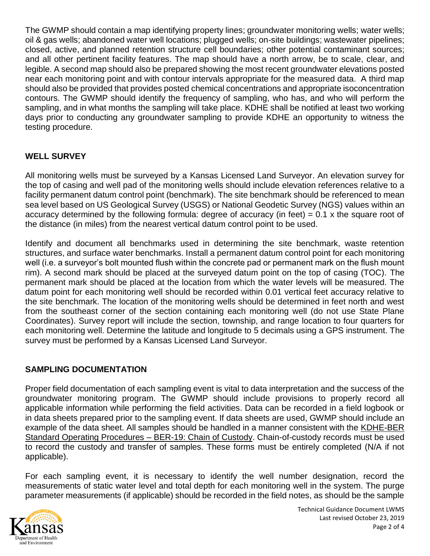The GWMP should contain a map identifying property lines; groundwater monitoring wells; water wells; oil & gas wells; abandoned water well locations; plugged wells; on-site buildings; wastewater pipelines; closed, active, and planned retention structure cell boundaries; other potential contaminant sources; and all other pertinent facility features. The map should have a north arrow, be to scale, clear, and legible. A second map should also be prepared showing the most recent groundwater elevations posted near each monitoring point and with contour intervals appropriate for the measured data. A third map should also be provided that provides posted chemical concentrations and appropriate isoconcentration contours. The GWMP should identify the frequency of sampling, who has, and who will perform the sampling, and in what months the sampling will take place. KDHE shall be notified at least two working days prior to conducting any groundwater sampling to provide KDHE an opportunity to witness the testing procedure.

# **WELL SURVEY**

All monitoring wells must be surveyed by a Kansas Licensed Land Surveyor. An elevation survey for the top of casing and well pad of the monitoring wells should include elevation references relative to a facility permanent datum control point (benchmark). The site benchmark should be referenced to mean sea level based on US Geological Survey (USGS) or National Geodetic Survey (NGS) values within an accuracy determined by the following formula: degree of accuracy (in feet) = 0.1 x the square root of the distance (in miles) from the nearest vertical datum control point to be used.

Identify and document all benchmarks used in determining the site benchmark, waste retention structures, and surface water benchmarks. Install a permanent datum control point for each monitoring well (i.e. a surveyor's bolt mounted flush within the concrete pad or permanent mark on the flush mount rim). A second mark should be placed at the surveyed datum point on the top of casing (TOC). The permanent mark should be placed at the location from which the water levels will be measured. The datum point for each monitoring well should be recorded within 0.01 vertical feet accuracy relative to the site benchmark. The location of the monitoring wells should be determined in feet north and west from the southeast corner of the section containing each monitoring well (do not use State Plane Coordinates). Survey report will include the section, township, and range location to four quarters for each monitoring well. Determine the latitude and longitude to 5 decimals using a GPS instrument. The survey must be performed by a Kansas Licensed Land Surveyor.

### **SAMPLING DOCUMENTATION**

Proper field documentation of each sampling event is vital to data interpretation and the success of the groundwater monitoring program. The GWMP should include provisions to properly record all applicable information while performing the field activities. Data can be recorded in a field logbook or in data sheets prepared prior to the sampling event. If data sheets are used, GWMP should include an example of the data sheet. All samples should be handled in a manner consistent with the KDHE-BER Standard Operating Procedures – BER-19: Chain of Custody. Chain-of-custody records must be used to record the custody and transfer of samples. These forms must be entirely completed (N/A if not applicable).

For each sampling event, it is necessary to identify the well number designation, record the measurements of static water level and total depth for each monitoring well in the system. The purge parameter measurements (if applicable) should be recorded in the field notes, as should be the sample

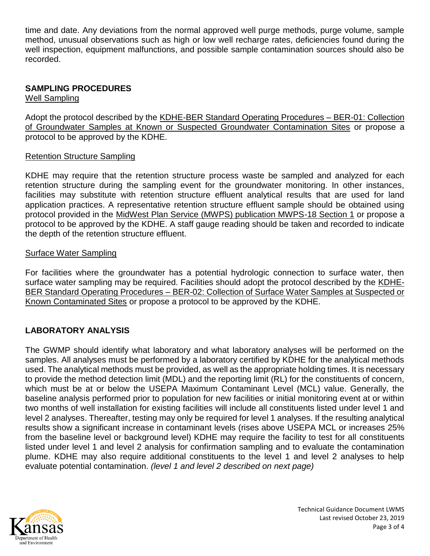time and date. Any deviations from the normal approved well purge methods, purge volume, sample method, unusual observations such as high or low well recharge rates, deficiencies found during the well inspection, equipment malfunctions, and possible sample contamination sources should also be recorded.

## **SAMPLING PROCEDURES**

Well Sampling

Adopt the protocol described by the KDHE-BER Standard Operating Procedures – BER-01: Collection of Groundwater Samples at Known or Suspected Groundwater Contamination Sites or propose a protocol to be approved by the KDHE.

### Retention Structure Sampling

KDHE may require that the retention structure process waste be sampled and analyzed for each retention structure during the sampling event for the groundwater monitoring. In other instances, facilities may substitute with retention structure effluent analytical results that are used for land application practices. A representative retention structure effluent sample should be obtained using protocol provided in the MidWest Plan Service (MWPS) publication MWPS-18 Section 1 or propose a protocol to be approved by the KDHE. A staff gauge reading should be taken and recorded to indicate the depth of the retention structure effluent.

### Surface Water Sampling

For facilities where the groundwater has a potential hydrologic connection to surface water, then surface water sampling may be required. Facilities should adopt the protocol described by the KDHE-BER Standard Operating Procedures – BER-02: Collection of Surface Water Samples at Suspected or Known Contaminated Sites or propose a protocol to be approved by the KDHE.

## **LABORATORY ANALYSIS**

The GWMP should identify what laboratory and what laboratory analyses will be performed on the samples. All analyses must be performed by a laboratory certified by KDHE for the analytical methods used. The analytical methods must be provided, as well as the appropriate holding times. It is necessary to provide the method detection limit (MDL) and the reporting limit (RL) for the constituents of concern, which must be at or below the USEPA Maximum Contaminant Level (MCL) value. Generally, the baseline analysis performed prior to population for new facilities or initial monitoring event at or within two months of well installation for existing facilities will include all constituents listed under level 1 and level 2 analyses. Thereafter, testing may only be required for level 1 analyses. If the resulting analytical results show a significant increase in contaminant levels (rises above USEPA MCL or increases 25% from the baseline level or background level) KDHE may require the facility to test for all constituents listed under level 1 and level 2 analysis for confirmation sampling and to evaluate the contamination plume. KDHE may also require additional constituents to the level 1 and level 2 analyses to help evaluate potential contamination. *(level 1 and level 2 described on next page)*